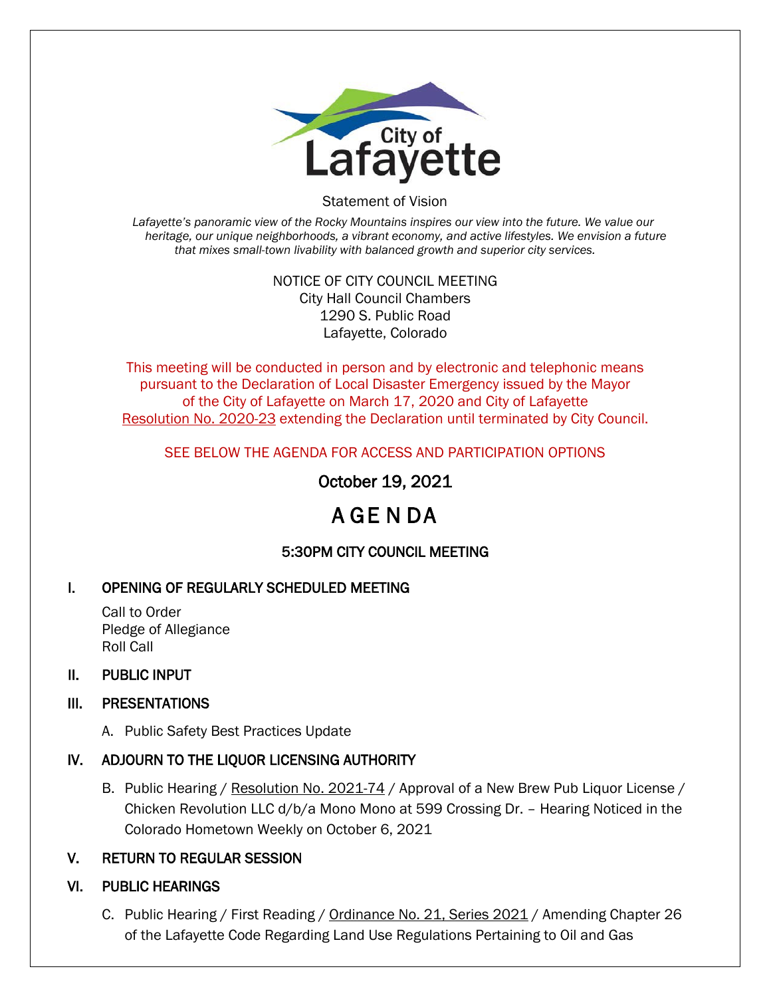

Statement of Vision

*Lafayette's panoramic view of the Rocky Mountains inspires our view into the future. We value our heritage, our unique neighborhoods, a vibrant economy, and active lifestyles. We envision a future that mixes small-town livability with balanced growth and superior city services.*

#### NOTICE OF CITY COUNCIL MEETING City Hall Council Chambers 1290 S. Public Road Lafayette, Colorado

This meeting will be conducted in person and by electronic and telephonic means pursuant to the Declaration of Local Disaster Emergency issued by the Mayor of the City of Lafayette on March 17, 2020 and City of Lafayette Resolution No. 2020-23 extending the Declaration until terminated by City Council.

SEE BELOW THE AGENDA FOR ACCESS AND PARTICIPATION OPTIONS

October 19, 2021

# A GE N DA

# 5:30PM CITY COUNCIL MEETING

# I. OPENING OF REGULARLY SCHEDULED MEETING

Call to Order Pledge of Allegiance Roll Call

## II. PUBLIC INPUT

# III. PRESENTATIONS

A. Public Safety Best Practices Update

# IV. ADJOURN TO THE LIQUOR LICENSING AUTHORITY

B. Public Hearing / Resolution No. 2021-74 / Approval of a New Brew Pub Liquor License / Chicken Revolution LLC d/b/a Mono Mono at 599 Crossing Dr. – Hearing Noticed in the Colorado Hometown Weekly on October 6, 2021

## V. RETURN TO REGULAR SESSION

## VI. PUBLIC HEARINGS

C. Public Hearing / First Reading / Ordinance No. 21, Series 2021 / Amending Chapter 26 of the Lafayette Code Regarding Land Use Regulations Pertaining to Oil and Gas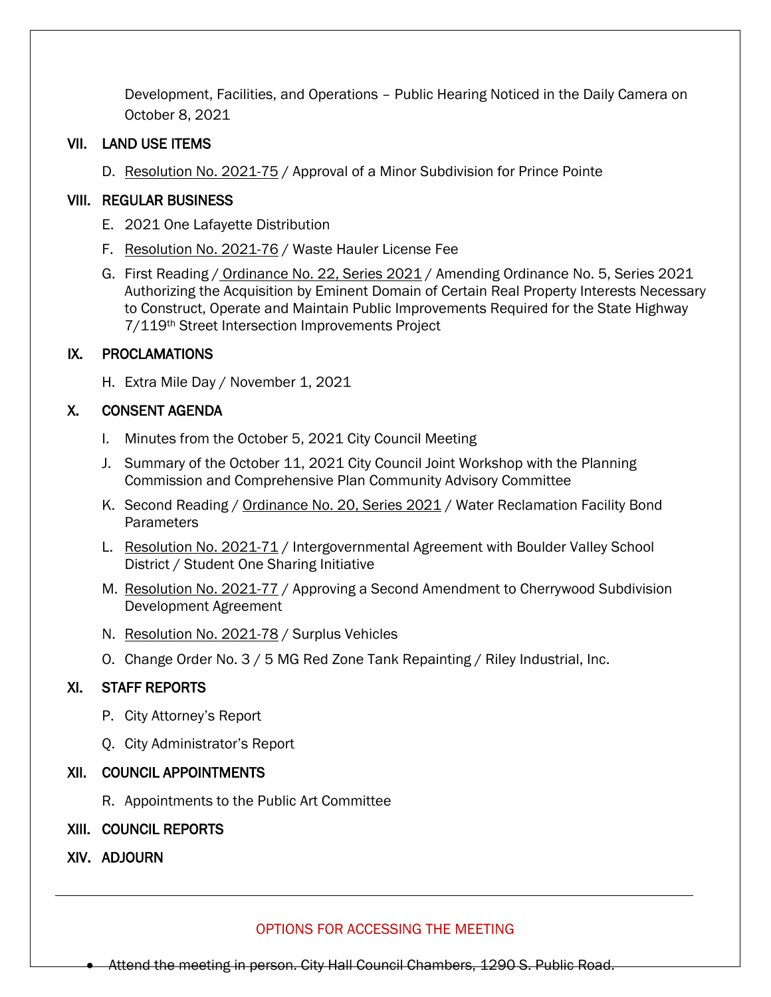Development, Facilities, and Operations – Public Hearing Noticed in the Daily Camera on October 8, 2021

## VII. LAND USE ITEMS

D. Resolution No. 2021-75 / Approval of a Minor Subdivision for Prince Pointe

## VIII. REGULAR BUSINESS

- E. 2021 One Lafayette Distribution
- F. Resolution No. 2021-76 / Waste Hauler License Fee
- G. First Reading / Ordinance No. 22, Series 2021 / Amending Ordinance No. 5, Series 2021 Authorizing the Acquisition by Eminent Domain of Certain Real Property Interests Necessary to Construct, Operate and Maintain Public Improvements Required for the State Highway 7/119th Street Intersection Improvements Project

## IX. PROCLAMATIONS

H. Extra Mile Day / November 1, 2021

## X. CONSENT AGENDA

- I. Minutes from the October 5, 2021 City Council Meeting
- J. Summary of the October 11, 2021 City Council Joint Workshop with the Planning Commission and Comprehensive Plan Community Advisory Committee
- K. Second Reading / Ordinance No. 20, Series 2021 / Water Reclamation Facility Bond Parameters
- L. Resolution No. 2021-71 / Intergovernmental Agreement with Boulder Valley School District / Student One Sharing Initiative
- M. Resolution No. 2021-77 / Approving a Second Amendment to Cherrywood Subdivision Development Agreement
- N. Resolution No. 2021-78 / Surplus Vehicles
- O. Change Order No. 3 / 5 MG Red Zone Tank Repainting / Riley Industrial, Inc.

## XI. STAFF REPORTS

- P. City Attorney's Report
- Q. City Administrator's Report

## XII. COUNCIL APPOINTMENTS

- R. Appointments to the Public Art Committee
- XIII. COUNCIL REPORTS
- XIV. ADJOURN

## OPTIONS FOR ACCESSING THE MEETING

• Attend the meeting in person. City Hall Council Chambers, 1290 S. Public Road.